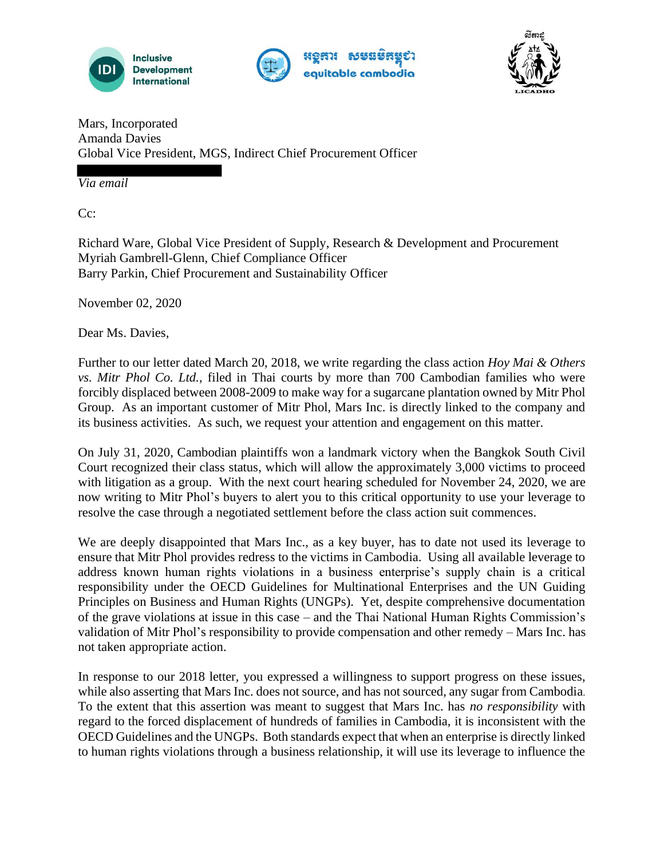





Mars, Incorporated Amanda Davies Global Vice President, MGS, Indirect Chief Procurement Officer

*Via email*

Cc:

Richard Ware, Global Vice President of Supply, Research & Development and Procurement Myriah Gambrell-Glenn, Chief Compliance Officer Barry Parkin, Chief Procurement and Sustainability Officer

November 02, 2020

Dear Ms. Davies,

Further to our letter dated March 20, 2018, we write regarding the class action *Hoy Mai & Others vs. Mitr Phol Co. Ltd.*, filed in Thai courts by more than 700 Cambodian families who were forcibly displaced between 2008-2009 to make way for a sugarcane plantation owned by Mitr Phol Group. As an important customer of Mitr Phol, Mars Inc. is directly linked to the company and its business activities. As such, we request your attention and engagement on this matter.

On July 31, 2020, Cambodian plaintiffs won a landmark victory when the Bangkok South Civil Court recognized their class status, which will allow the approximately 3,000 victims to proceed with litigation as a group. With the next court hearing scheduled for November 24, 2020, we are now writing to Mitr Phol's buyers to alert you to this critical opportunity to use your leverage to resolve the case through a negotiated settlement before the class action suit commences.

We are deeply disappointed that Mars Inc., as a key buyer, has to date not used its leverage to ensure that Mitr Phol provides redress to the victims in Cambodia. Using all available leverage to address known human rights violations in a business enterprise's supply chain is a critical responsibility under the OECD Guidelines for Multinational Enterprises and the UN Guiding Principles on Business and Human Rights (UNGPs). Yet, despite comprehensive documentation of the grave violations at issue in this case – and the Thai National Human Rights Commission's validation of Mitr Phol's responsibility to provide compensation and other remedy – Mars Inc. has not taken appropriate action.

In response to our 2018 letter, you expressed a willingness to support progress on these issues, while also asserting that Mars Inc. does not source, and has not sourced, any sugar from Cambodia. To the extent that this assertion was meant to suggest that Mars Inc. has *no responsibility* with regard to the forced displacement of hundreds of families in Cambodia, it is inconsistent with the OECD Guidelines and the UNGPs. Both standards expect that when an enterprise is directly linked to human rights violations through a business relationship, it will use its leverage to influence the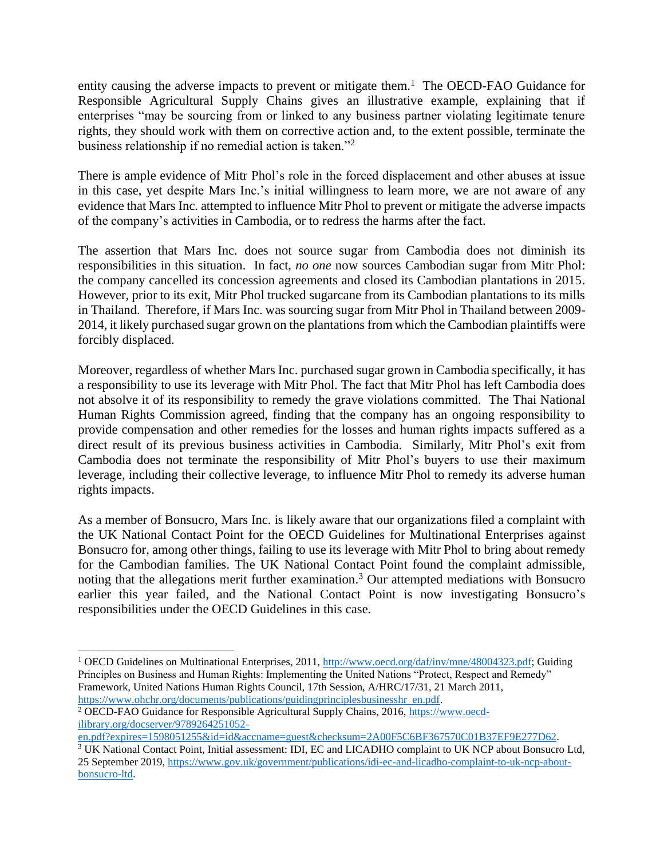entity causing the adverse impacts to prevent or mitigate them.<sup>1</sup> The OECD-FAO Guidance for Responsible Agricultural Supply Chains gives an illustrative example, explaining that if enterprises "may be sourcing from or linked to any business partner violating legitimate tenure rights, they should work with them on corrective action and, to the extent possible, terminate the business relationship if no remedial action is taken."<sup>2</sup>

There is ample evidence of Mitr Phol's role in the forced displacement and other abuses at issue in this case, yet despite Mars Inc.'s initial willingness to learn more, we are not aware of any evidence that Mars Inc. attempted to influence Mitr Phol to prevent or mitigate the adverse impacts of the company's activities in Cambodia, or to redress the harms after the fact.

The assertion that Mars Inc. does not source sugar from Cambodia does not diminish its responsibilities in this situation. In fact, *no one* now sources Cambodian sugar from Mitr Phol: the company cancelled its concession agreements and closed its Cambodian plantations in 2015. However, prior to its exit, Mitr Phol trucked sugarcane from its Cambodian plantations to its mills in Thailand. Therefore, if Mars Inc. was sourcing sugar from Mitr Phol in Thailand between 2009- 2014, it likely purchased sugar grown on the plantations from which the Cambodian plaintiffs were forcibly displaced.

Moreover, regardless of whether Mars Inc. purchased sugar grown in Cambodia specifically, it has a responsibility to use its leverage with Mitr Phol. The fact that Mitr Phol has left Cambodia does not absolve it of its responsibility to remedy the grave violations committed. The Thai National Human Rights Commission agreed, finding that the company has an ongoing responsibility to provide compensation and other remedies for the losses and human rights impacts suffered as a direct result of its previous business activities in Cambodia. Similarly, Mitr Phol's exit from Cambodia does not terminate the responsibility of Mitr Phol's buyers to use their maximum leverage, including their collective leverage, to influence Mitr Phol to remedy its adverse human rights impacts.

As a member of Bonsucro, Mars Inc. is likely aware that our organizations filed a complaint with the UK National Contact Point for the OECD Guidelines for Multinational Enterprises against Bonsucro for, among other things, failing to use its leverage with Mitr Phol to bring about remedy for the Cambodian families. The UK National Contact Point found the complaint admissible, noting that the allegations merit further examination.<sup>3</sup> Our attempted mediations with Bonsucro earlier this year failed, and the National Contact Point is now investigating Bonsucro's responsibilities under the OECD Guidelines in this case.

<sup>&</sup>lt;sup>1</sup> OECD Guidelines on Multinational Enterprises, 2011, http://www.oecd.org/daf/inv/mne/48004323.pdf; Guiding Principles on Business and Human Rights: Implementing the United Nations "Protect, Respect and Remedy" Framework, United Nations Human Rights Council, 17th Session, A/HRC/17/31, 21 March 2011, https://www.ohchr.org/documents/publications/guidingprinciplesbusinesshr en.pdf.

<sup>&</sup>lt;sup>2</sup> OECD-FAO Guidance for Responsible Agricultural Supply Chains, 2016, https://www.oecdilibrary.org/docserver/9789264251052-

en.pdf?expires=1598051255&id=id&accname=guest&checksum=2A00F5C6BF367570C01B37EF9E277D62.

<sup>3</sup> UK National Contact Point, Initial assessment: IDI, EC and LICADHO complaint to UK NCP about Bonsucro Ltd, 25 September 2019, https://www.gov.uk/government/publications/idi-ec-and-licadho-complaint-to-uk-ncp-aboutbonsucro-ltd.